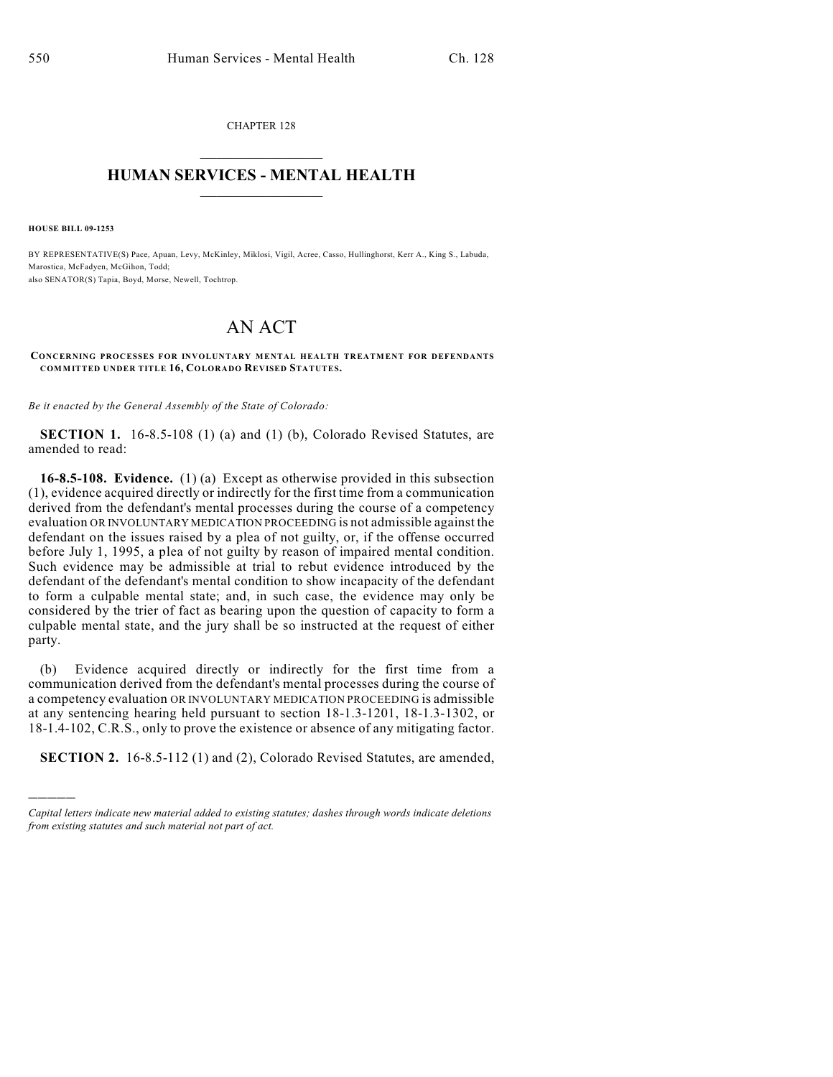CHAPTER 128  $\overline{\phantom{a}}$  . The set of the set of the set of the set of the set of the set of the set of the set of the set of the set of the set of the set of the set of the set of the set of the set of the set of the set of the set o

## **HUMAN SERVICES - MENTAL HEALTH**  $\_$   $\_$   $\_$   $\_$   $\_$   $\_$   $\_$   $\_$   $\_$

**HOUSE BILL 09-1253**

)))))

BY REPRESENTATIVE(S) Pace, Apuan, Levy, McKinley, Miklosi, Vigil, Acree, Casso, Hullinghorst, Kerr A., King S., Labuda, Marostica, McFadyen, McGihon, Todd; also SENATOR(S) Tapia, Boyd, Morse, Newell, Tochtrop.

## AN ACT

## **CONCERNING PROCESSES FOR INVOLUNTARY MENTAL HEALTH TREATMENT FOR DEFENDANTS COMMITTED UNDER TITLE 16, COLORADO REVISED STATUTES.**

*Be it enacted by the General Assembly of the State of Colorado:*

**SECTION 1.** 16-8.5-108 (1) (a) and (1) (b), Colorado Revised Statutes, are amended to read:

**16-8.5-108. Evidence.** (1) (a) Except as otherwise provided in this subsection (1), evidence acquired directly or indirectly for the first time from a communication derived from the defendant's mental processes during the course of a competency evaluation OR INVOLUNTARY MEDICATION PROCEEDING is not admissible against the defendant on the issues raised by a plea of not guilty, or, if the offense occurred before July 1, 1995, a plea of not guilty by reason of impaired mental condition. Such evidence may be admissible at trial to rebut evidence introduced by the defendant of the defendant's mental condition to show incapacity of the defendant to form a culpable mental state; and, in such case, the evidence may only be considered by the trier of fact as bearing upon the question of capacity to form a culpable mental state, and the jury shall be so instructed at the request of either party.

(b) Evidence acquired directly or indirectly for the first time from a communication derived from the defendant's mental processes during the course of a competency evaluation OR INVOLUNTARY MEDICATION PROCEEDING is admissible at any sentencing hearing held pursuant to section 18-1.3-1201, 18-1.3-1302, or 18-1.4-102, C.R.S., only to prove the existence or absence of any mitigating factor.

**SECTION 2.** 16-8.5-112 (1) and (2), Colorado Revised Statutes, are amended,

*Capital letters indicate new material added to existing statutes; dashes through words indicate deletions from existing statutes and such material not part of act.*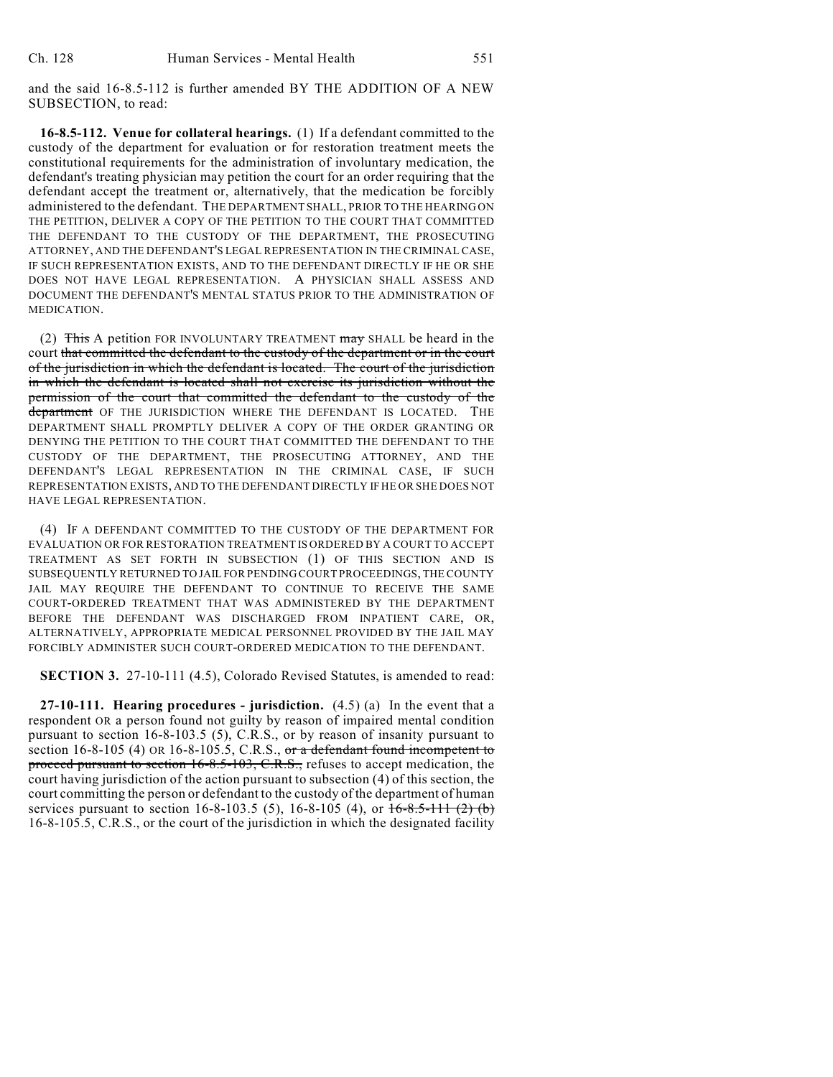and the said 16-8.5-112 is further amended BY THE ADDITION OF A NEW SUBSECTION, to read:

**16-8.5-112. Venue for collateral hearings.** (1) If a defendant committed to the custody of the department for evaluation or for restoration treatment meets the constitutional requirements for the administration of involuntary medication, the defendant's treating physician may petition the court for an order requiring that the defendant accept the treatment or, alternatively, that the medication be forcibly administered to the defendant. THE DEPARTMENT SHALL, PRIOR TO THE HEARING ON THE PETITION, DELIVER A COPY OF THE PETITION TO THE COURT THAT COMMITTED THE DEFENDANT TO THE CUSTODY OF THE DEPARTMENT, THE PROSECUTING ATTORNEY, AND THE DEFENDANT'S LEGAL REPRESENTATION IN THE CRIMINAL CASE, IF SUCH REPRESENTATION EXISTS, AND TO THE DEFENDANT DIRECTLY IF HE OR SHE DOES NOT HAVE LEGAL REPRESENTATION. A PHYSICIAN SHALL ASSESS AND DOCUMENT THE DEFENDANT'S MENTAL STATUS PRIOR TO THE ADMINISTRATION OF MEDICATION.

(2) This A petition FOR INVOLUNTARY TREATMENT may SHALL be heard in the court that committed the defendant to the custody of the department or in the court of the jurisdiction in which the defendant is located. The court of the jurisdiction in which the defendant is located shall not exercise its jurisdiction without the permission of the court that committed the defendant to the custody of the department OF THE JURISDICTION WHERE THE DEFENDANT IS LOCATED. THE DEPARTMENT SHALL PROMPTLY DELIVER A COPY OF THE ORDER GRANTING OR DENYING THE PETITION TO THE COURT THAT COMMITTED THE DEFENDANT TO THE CUSTODY OF THE DEPARTMENT, THE PROSECUTING ATTORNEY, AND THE DEFENDANT'S LEGAL REPRESENTATION IN THE CRIMINAL CASE, IF SUCH REPRESENTATION EXISTS, AND TO THE DEFENDANT DIRECTLY IF HE OR SHE DOES NOT HAVE LEGAL REPRESENTATION.

(4) IF A DEFENDANT COMMITTED TO THE CUSTODY OF THE DEPARTMENT FOR EVALUATION OR FOR RESTORATION TREATMENT IS ORDERED BY A COURT TO ACCEPT TREATMENT AS SET FORTH IN SUBSECTION (1) OF THIS SECTION AND IS SUBSEQUENTLY RETURNED TO JAIL FOR PENDING COURT PROCEEDINGS, THE COUNTY JAIL MAY REQUIRE THE DEFENDANT TO CONTINUE TO RECEIVE THE SAME COURT-ORDERED TREATMENT THAT WAS ADMINISTERED BY THE DEPARTMENT BEFORE THE DEFENDANT WAS DISCHARGED FROM INPATIENT CARE, OR, ALTERNATIVELY, APPROPRIATE MEDICAL PERSONNEL PROVIDED BY THE JAIL MAY FORCIBLY ADMINISTER SUCH COURT-ORDERED MEDICATION TO THE DEFENDANT.

**SECTION 3.** 27-10-111 (4.5), Colorado Revised Statutes, is amended to read:

**27-10-111. Hearing procedures - jurisdiction.** (4.5) (a) In the event that a respondent OR a person found not guilty by reason of impaired mental condition pursuant to section 16-8-103.5 (5), C.R.S., or by reason of insanity pursuant to section  $16-8-105$  (4) OR  $16-8-105.5$ , C.R.S., or a defendant found incompetent to proceed pursuant to section  $16-8.5-103$ , C.R.S., refuses to accept medication, the court having jurisdiction of the action pursuant to subsection (4) of this section, the court committing the person or defendant to the custody of the department of human services pursuant to section 16-8-103.5 (5), 16-8-105 (4), or  $16-8.5-111$  (2) (b) 16-8-105.5, C.R.S., or the court of the jurisdiction in which the designated facility